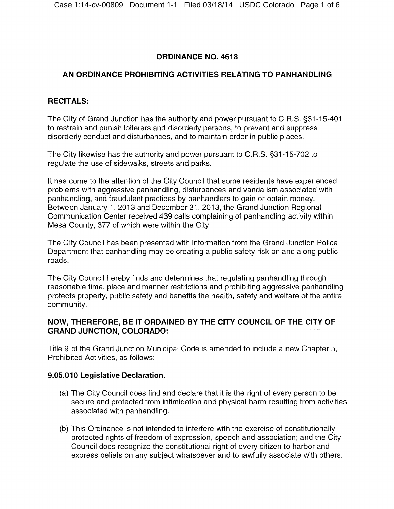## **ORDINANCE NO. 4618**

# **AN ORDINANCE PROHIBITING ACTIVITIES RELATING TO PANHANDLING**

### **RECITALS:**

The City of Grand Junction has the authority and power pursuant to C.R.S. §31-15-401 to restrain and punish loiterers and disorderly persons, to prevent and suppress disorderly conduct and disturbances, and to maintain order in public places.

The City likewise has the authority and power pursuant to C.R.S. §31-15-702 to regulate the use of sidewalks, streets and parks.

It has come to the attention of the City Council that some residents have experienced problems with aggressive panhandling, disturbances and vandalism associated with panhandling, and fraudulent practices by panhandlers to gain or obtain money. Between January 1, 2013 and December 31, 2013, the Grand Junction Regional Communication Center received 439 calls complaining of panhandling activity within Mesa County, 377 of which were within the City.

The City Council has been presented with information from the Grand Junction Police Department that panhandling may be creating a public safety risk on and along public roads.

The City Council hereby finds and determines that regulating panhandling through reasonable time, place and manner restrictions and prohibiting aggressive panhandling protects property, public safety and benefits the health, safety and welfare of the entire community.

### **NOW, THEREFORE, BE IT ORDAINED BY THE CITY COUNCIL OF THE CITY OF GRAND JUNCTION, COLORADO:**

Title 9 of the Grand Junction Municipal Code is amended to include a new Chapter 5, Prohibited Activities, as follows:

## **9.05.010 Legislative Declaration.**

- (a) The City Council does find and declare that it is the right of every person to be secure and protected from intimidation and physical harm resulting from activities associated with panhandling.
- (b) This Ordinance is not intended to interfere with the exercise of constitutionally protected rights of freedom of expression, speech and association; and the City Council does recognize the constitutional right of every citizen to harbor and express beliefs on any subject whatsoever and to lawfully associate with others.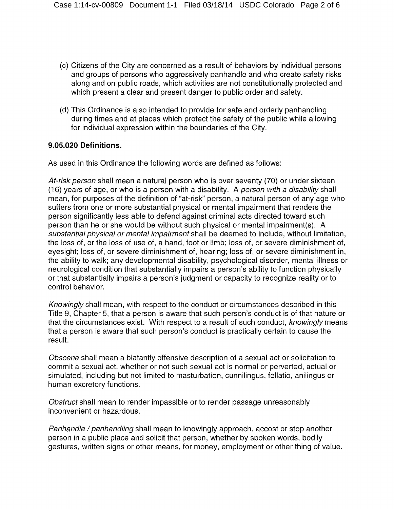- (c) Citizens of the City are concerned as a result of behaviors by individual persons and groups of persons who aggressively panhandle and who create safety risks along and on public roads, which activities are not constitutionally protected and which present a clear and present danger to public order and safety.
- (d) This Ordinance is also intended to provide for safe and orderly panhandling during times and at places which protect the safety of the public while allowing for individual expression within the boundaries of the City.

#### **9.05.020 Definitions.**

As used in this Ordinance the following words are defined as follows:

*At-risk person* shall mean a natural person who is over seventy (70) or under sixteen (16) years of age, or who is a person with a disability. A *person with a disability* shall mean, for purposes of the definition of "at-risk" person, a natural person of any age who suffers from one or more substantial physical or mental impairment that renders the person significantly less able to defend against criminal acts directed toward such person than he or she would be without such physical or mental impairment(s). A *substantial physical or mental impairment* shall be deemed to include, without limitation, the loss of, or the loss of use of, a hand, foot or limb; loss of, or severe diminishment of, eyesight; loss of, or severe diminishment of, hearing; loss of, or severe diminishment in, the ability to walk; any developmental disability, psychological disorder, mental illness or neurological condition that substantially impairs a person's ability to function physically or that substantially impairs a person's judgment or capacity to recognize reality or to control behavior.

*Knowingly* shall mean, with respect to the conduct or circumstances described in this Title 9, Chapter 5, that a person is aware that such person's conduct is of that nature or that the circumstances exist. With respect to a result of such conduct, *knowingly* means that a person is aware that such person's conduct is practically certain to cause the result.

*Obscene* shall mean a blatantly offensive description of a sexual act or solicitation to commit a sexual act, whether or not such sexual act is normal or perverted, actual or simulated, including but not limited to masturbation, cunnilingus, fellatio, anilingus or human excretory functions.

*Obstruct* shall mean to render impassible orto render passage unreasonably inconvenient or hazardous.

*Panhandle /panhandling* shall mean to knowingly approach, accost or stop another person in a public place and solicit that person, whether by spoken words, bodily gestures, written signs or other means, for money, employment or other thing of value.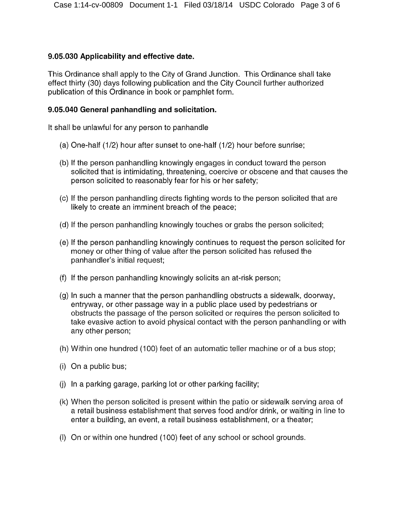#### **9.05.030 Applicability and effective date.**

This Ordinance shall apply to the City of Grand Junction. This Ordinance shall take effect thirty (30) days following publication and the City Council further authorized publication of this Ordinance in book or pamphlet form.

#### **9.05.040 General panhandling and solicitation.**

It shall be unlawful for any person to panhandle

- (a) One-half (1/2) hour after sunset to one-half (1/2) hour before sunrise;
- (b) If the person panhandling knowingly engages in conduct toward the person solicited that is intimidating, threatening, coercive or obscene and that causes the person solicited to reasonably fear for his or her safety;
- (c) If the person panhandling directs fighting words to the person solicited that are likely to create an imminent breach of the peace;
- (d) If the person panhandling knowingly touches or grabs the person solicited;
- (e) If the person panhandling knowingly continues to request the person solicited for money or other thing of value after the person solicited has refused the panhandler's initial request;
- (f) If the person panhandling knowingly solicits an at-risk person;
- (g) In such a manner that the person panhandling obstructs a sidewalk, doorway, entryway, or other passage way in a public place used by pedestrians or obstructs the passage of the person solicited or requires the person solicited to take evasive action to avoid physical contact with the person panhandling or with any other person;
- (h) Within one hundred (100) feet of an automatic teller machine or of a bus stop;
- (i) On a public bus;
- (j) In a parking garage, parking lot or other parking facility;
- (k) When the person solicited is present within the patio or sidewalk serving area of a retail business establishment that serves food and/or drink, or waiting in line to enter a building, an event, a retail business establishment, or a theater;
- (I) On or within one hundred (100) feet of any school or school grounds.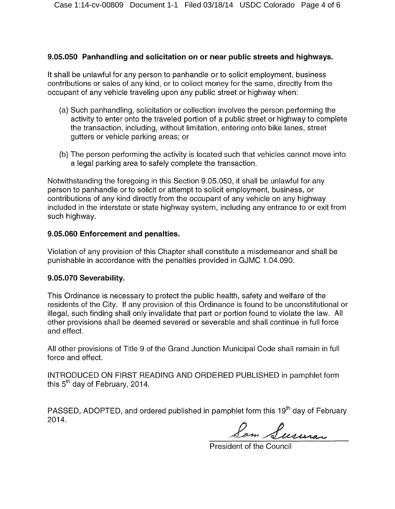#### **9.05.050 Panhandling and solicitation on or near public streets and highways.**

It shall be unlawful for any person to panhandle or to solicit employment, business contributions or sales of any kind, or to collect money for the same, directly from the occupant of any vehicle traveling upon any public street or highway when:

- (a) Such panhandling, solicitation or collection involves the person performing the activity to enter onto the traveled portion of a public street or highway to complete the transaction, including, without limitation, entering onto bike lanes, street gutters or vehicle parking areas; or
- (b) The person performing the activity is located such that vehicles cannot move into a legal parking area to safely complete the transaction.

Notwithstanding the foregoing in this Section 9.05.050, it shall be unlawful for any person to panhandle or to solicit or attempt to solicit employment, business, or contributions of any kind directly from the occupant of any vehicle on any highway included in the interstate or state highway system, including any entrance to or exit from such highway.

#### **9.05.060 Enforcement and penalties.**

Violation of any provision of this Chapter shall constitute a misdemeanor and shall be punishable in accordance with the penalties provided in GJMC 1.04.090.

#### **9.05.070 Severability.**

This Ordinance is necessary to protect the public health, safety and welfare of the residents of the City. If any provision of this Ordinance is found to be unconstitutional or illegal, such finding shall only invalidate that part or portion found to violate the law. All other provisions shall be deemed severed or severable and shall continue in full force and effect.

All other provisions of Title 9 of the Grand Junction Municipal Code shall remain in full force and effect.

INTRODUCED ON FIRST READING AND ORDERED PUBLISHED in pamphlet form this 5"' day of February, 2014.

PASSED, ADOPTED, and ordered published in pamphlet form this 19<sup>th</sup> day of February 2014.

Sam Susuras

President of the Council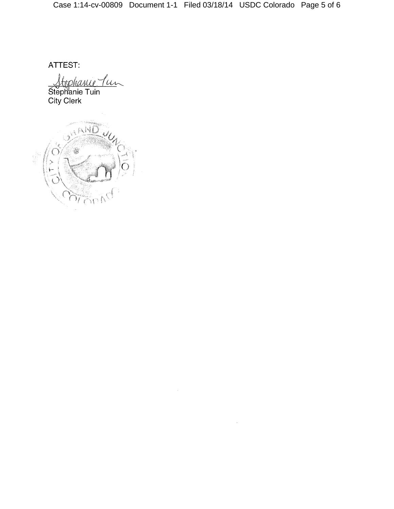$\bar{\tau}$ 

ATTEST:

<u>Itophanie Jun</u> Steph'anie Tuin City Clerk